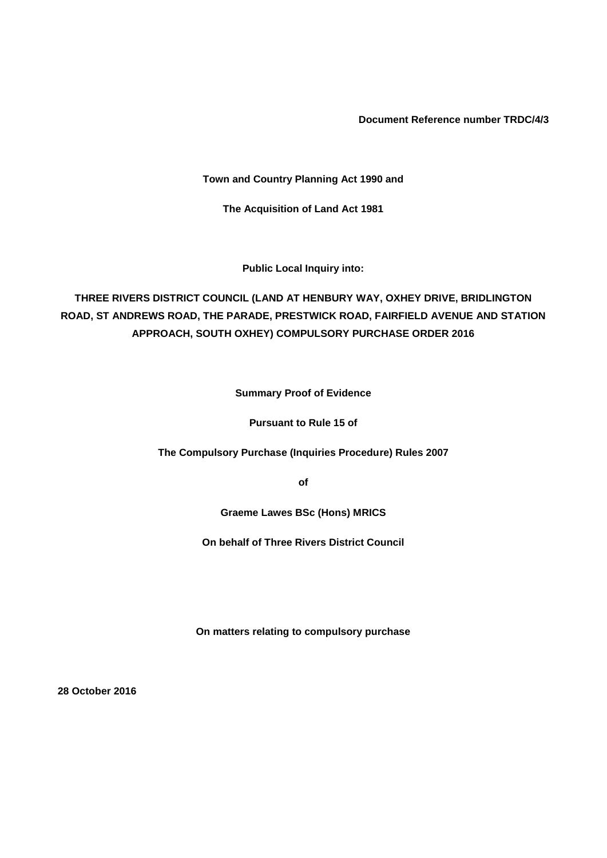**Document Reference number TRDC/4/3**

**Town and Country Planning Act 1990 and**

**The Acquisition of Land Act 1981**

**Public Local Inquiry into:**

**THREE RIVERS DISTRICT COUNCIL (LAND AT HENBURY WAY, OXHEY DRIVE, BRIDLINGTON ROAD, ST ANDREWS ROAD, THE PARADE, PRESTWICK ROAD, FAIRFIELD AVENUE AND STATION APPROACH, SOUTH OXHEY) COMPULSORY PURCHASE ORDER 2016**

**Summary Proof of Evidence**

**Pursuant to Rule 15 of**

**The Compulsory Purchase (Inquiries Procedure) Rules 2007**

**of**

**Graeme Lawes BSc (Hons) MRICS**

**On behalf of Three Rivers District Council**

**On matters relating to compulsory purchase**

**28 October 2016**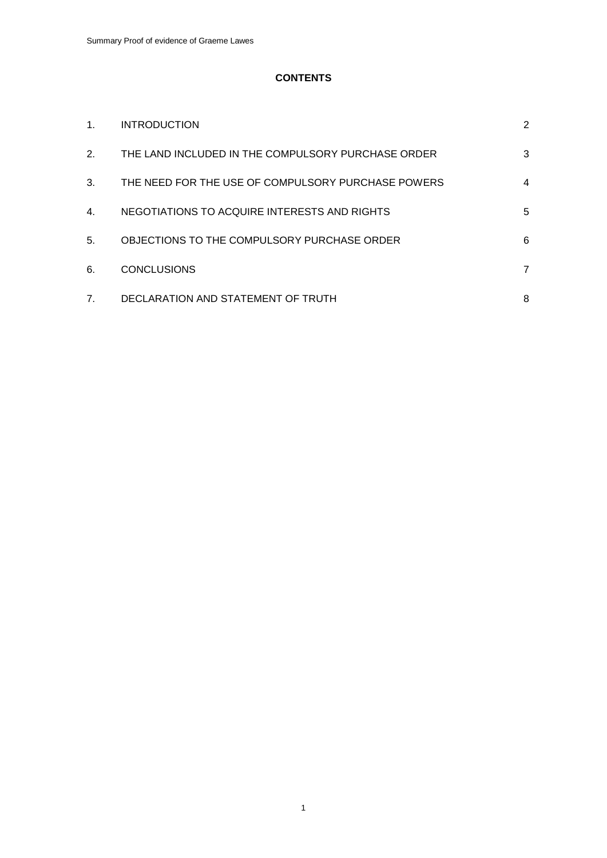# **CONTENTS**

| $\mathbf{1}$ . | <b>INTRODUCTION</b>                                | 2 |
|----------------|----------------------------------------------------|---|
| 2.             | THE LAND INCLUDED IN THE COMPULSORY PURCHASE ORDER | 3 |
| 3.             | THE NEED FOR THE USE OF COMPULSORY PURCHASE POWERS | 4 |
| 4.             | NEGOTIATIONS TO ACQUIRE INTERESTS AND RIGHTS       | 5 |
| 5.             | OBJECTIONS TO THE COMPULSORY PURCHASE ORDER        | 6 |
| 6.             | <b>CONCLUSIONS</b>                                 | 7 |
| 7 <sub>1</sub> | DECLARATION AND STATEMENT OF TRUTH                 | 8 |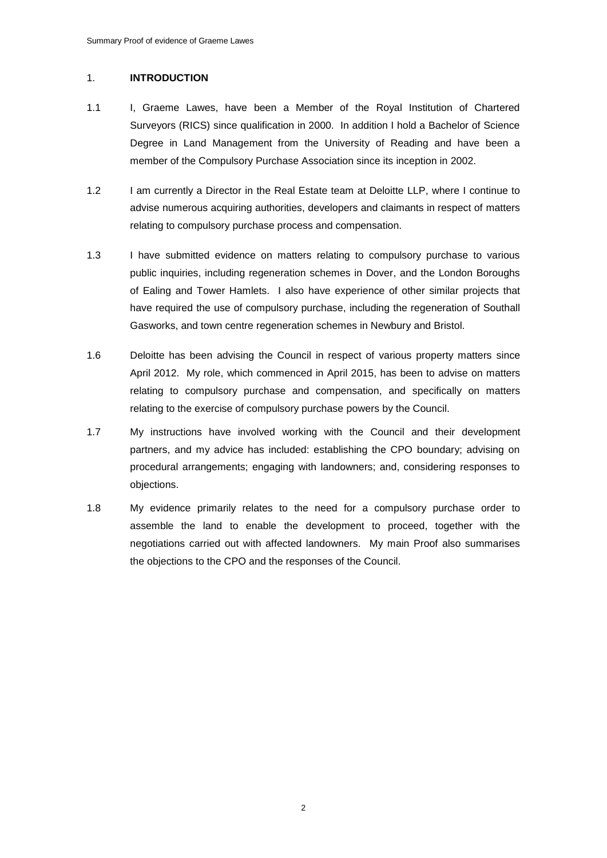## 1. **INTRODUCTION**

- 1.1 I, Graeme Lawes, have been a Member of the Royal Institution of Chartered Surveyors (RICS) since qualification in 2000. In addition I hold a Bachelor of Science Degree in Land Management from the University of Reading and have been a member of the Compulsory Purchase Association since its inception in 2002.
- 1.2 I am currently a Director in the Real Estate team at Deloitte LLP, where I continue to advise numerous acquiring authorities, developers and claimants in respect of matters relating to compulsory purchase process and compensation.
- 1.3 I have submitted evidence on matters relating to compulsory purchase to various public inquiries, including regeneration schemes in Dover, and the London Boroughs of Ealing and Tower Hamlets. I also have experience of other similar projects that have required the use of compulsory purchase, including the regeneration of Southall Gasworks, and town centre regeneration schemes in Newbury and Bristol.
- 1.6 Deloitte has been advising the Council in respect of various property matters since April 2012. My role, which commenced in April 2015, has been to advise on matters relating to compulsory purchase and compensation, and specifically on matters relating to the exercise of compulsory purchase powers by the Council.
- 1.7 My instructions have involved working with the Council and their development partners, and my advice has included: establishing the CPO boundary; advising on procedural arrangements; engaging with landowners; and, considering responses to objections.
- 1.8 My evidence primarily relates to the need for a compulsory purchase order to assemble the land to enable the development to proceed, together with the negotiations carried out with affected landowners. My main Proof also summarises the objections to the CPO and the responses of the Council.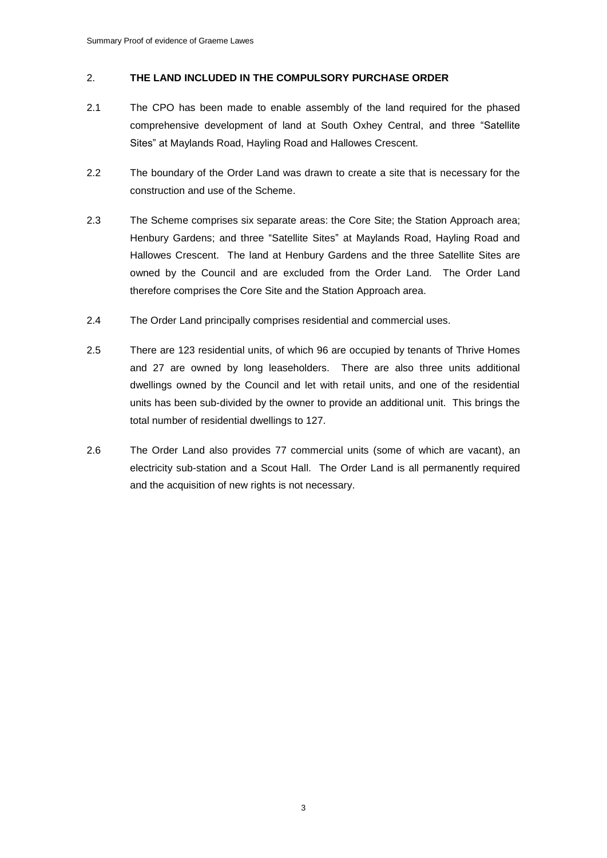## 2. **THE LAND INCLUDED IN THE COMPULSORY PURCHASE ORDER**

- 2.1 The CPO has been made to enable assembly of the land required for the phased comprehensive development of land at South Oxhey Central, and three "Satellite Sites" at Maylands Road, Hayling Road and Hallowes Crescent.
- 2.2 The boundary of the Order Land was drawn to create a site that is necessary for the construction and use of the Scheme.
- 2.3 The Scheme comprises six separate areas: the Core Site; the Station Approach area; Henbury Gardens; and three "Satellite Sites" at Maylands Road, Hayling Road and Hallowes Crescent. The land at Henbury Gardens and the three Satellite Sites are owned by the Council and are excluded from the Order Land. The Order Land therefore comprises the Core Site and the Station Approach area.
- 2.4 The Order Land principally comprises residential and commercial uses.
- 2.5 There are 123 residential units, of which 96 are occupied by tenants of Thrive Homes and 27 are owned by long leaseholders. There are also three units additional dwellings owned by the Council and let with retail units, and one of the residential units has been sub-divided by the owner to provide an additional unit. This brings the total number of residential dwellings to 127.
- 2.6 The Order Land also provides 77 commercial units (some of which are vacant), an electricity sub-station and a Scout Hall. The Order Land is all permanently required and the acquisition of new rights is not necessary.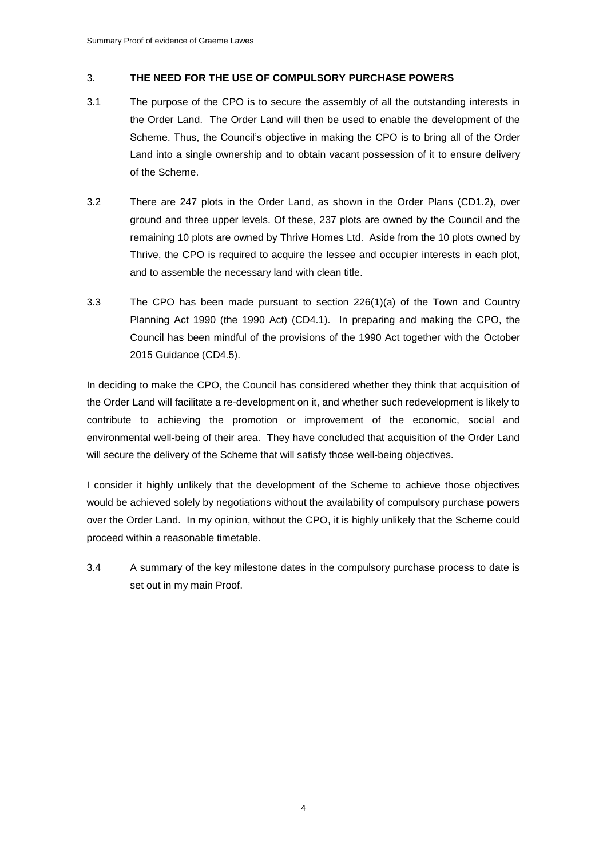## 3. **THE NEED FOR THE USE OF COMPULSORY PURCHASE POWERS**

- 3.1 The purpose of the CPO is to secure the assembly of all the outstanding interests in the Order Land. The Order Land will then be used to enable the development of the Scheme. Thus, the Council's objective in making the CPO is to bring all of the Order Land into a single ownership and to obtain vacant possession of it to ensure delivery of the Scheme.
- 3.2 There are 247 plots in the Order Land, as shown in the Order Plans (CD1.2), over ground and three upper levels. Of these, 237 plots are owned by the Council and the remaining 10 plots are owned by Thrive Homes Ltd. Aside from the 10 plots owned by Thrive, the CPO is required to acquire the lessee and occupier interests in each plot, and to assemble the necessary land with clean title.
- 3.3 The CPO has been made pursuant to section 226(1)(a) of the Town and Country Planning Act 1990 (the 1990 Act) (CD4.1). In preparing and making the CPO, the Council has been mindful of the provisions of the 1990 Act together with the October 2015 Guidance (CD4.5).

In deciding to make the CPO, the Council has considered whether they think that acquisition of the Order Land will facilitate a re-development on it, and whether such redevelopment is likely to contribute to achieving the promotion or improvement of the economic, social and environmental well-being of their area. They have concluded that acquisition of the Order Land will secure the delivery of the Scheme that will satisfy those well-being objectives.

I consider it highly unlikely that the development of the Scheme to achieve those objectives would be achieved solely by negotiations without the availability of compulsory purchase powers over the Order Land. In my opinion, without the CPO, it is highly unlikely that the Scheme could proceed within a reasonable timetable.

3.4 A summary of the key milestone dates in the compulsory purchase process to date is set out in my main Proof.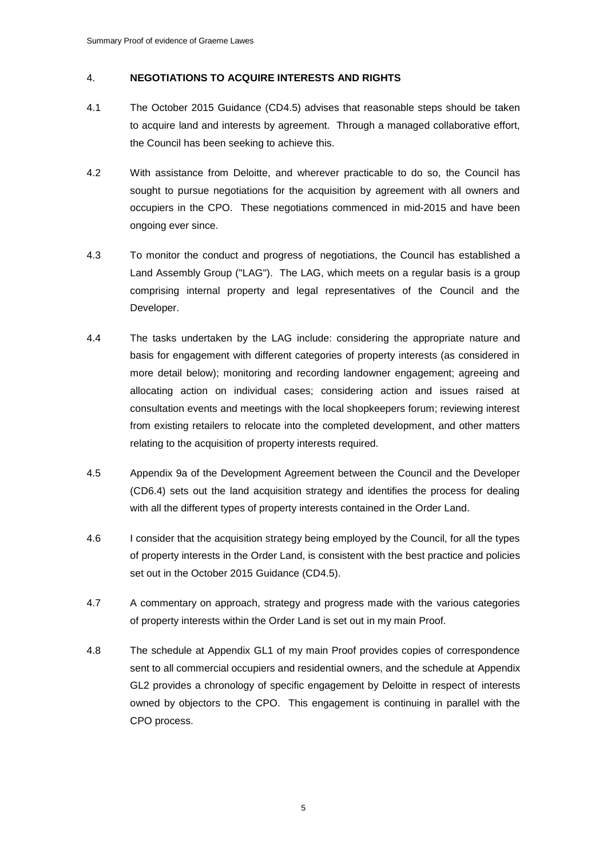### 4. **NEGOTIATIONS TO ACQUIRE INTERESTS AND RIGHTS**

- 4.1 The October 2015 Guidance (CD4.5) advises that reasonable steps should be taken to acquire land and interests by agreement. Through a managed collaborative effort, the Council has been seeking to achieve this.
- 4.2 With assistance from Deloitte, and wherever practicable to do so, the Council has sought to pursue negotiations for the acquisition by agreement with all owners and occupiers in the CPO. These negotiations commenced in mid-2015 and have been ongoing ever since.
- 4.3 To monitor the conduct and progress of negotiations, the Council has established a Land Assembly Group ("LAG"). The LAG, which meets on a regular basis is a group comprising internal property and legal representatives of the Council and the Developer.
- 4.4 The tasks undertaken by the LAG include: considering the appropriate nature and basis for engagement with different categories of property interests (as considered in more detail below); monitoring and recording landowner engagement; agreeing and allocating action on individual cases; considering action and issues raised at consultation events and meetings with the local shopkeepers forum; reviewing interest from existing retailers to relocate into the completed development, and other matters relating to the acquisition of property interests required.
- 4.5 Appendix 9a of the Development Agreement between the Council and the Developer (CD6.4) sets out the land acquisition strategy and identifies the process for dealing with all the different types of property interests contained in the Order Land.
- 4.6 I consider that the acquisition strategy being employed by the Council, for all the types of property interests in the Order Land, is consistent with the best practice and policies set out in the October 2015 Guidance (CD4.5).
- 4.7 A commentary on approach, strategy and progress made with the various categories of property interests within the Order Land is set out in my main Proof.
- 4.8 The schedule at Appendix GL1 of my main Proof provides copies of correspondence sent to all commercial occupiers and residential owners, and the schedule at Appendix GL2 provides a chronology of specific engagement by Deloitte in respect of interests owned by objectors to the CPO. This engagement is continuing in parallel with the CPO process.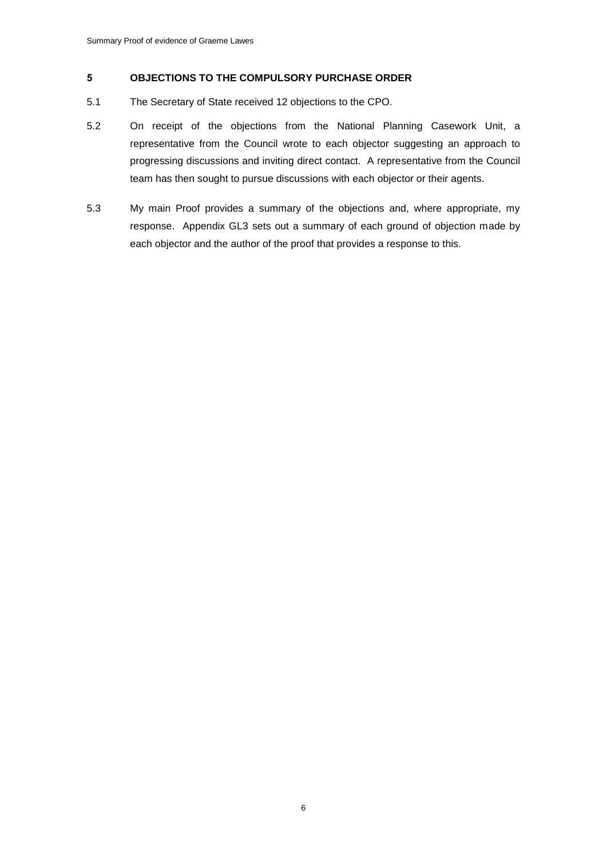#### **5 OBJECTIONS TO THE COMPULSORY PURCHASE ORDER**

- 5.1 The Secretary of State received 12 objections to the CPO.
- 5.2 On receipt of the objections from the National Planning Casework Unit, a representative from the Council wrote to each objector suggesting an approach to progressing discussions and inviting direct contact. A representative from the Council team has then sought to pursue discussions with each objector or their agents.
- 5.3 My main Proof provides a summary of the objections and, where appropriate, my response. Appendix GL3 sets out a summary of each ground of objection made by each objector and the author of the proof that provides a response to this.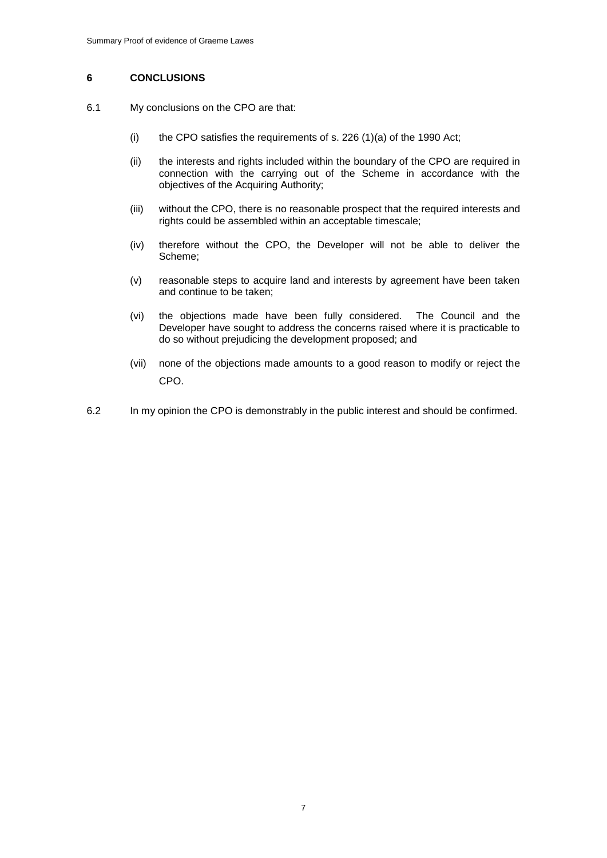### **6 CONCLUSIONS**

- 6.1 My conclusions on the CPO are that:
	- (i) the CPO satisfies the requirements of s. 226  $(1)(a)$  of the 1990 Act;
	- (ii) the interests and rights included within the boundary of the CPO are required in connection with the carrying out of the Scheme in accordance with the objectives of the Acquiring Authority;
	- (iii) without the CPO, there is no reasonable prospect that the required interests and rights could be assembled within an acceptable timescale;
	- (iv) therefore without the CPO, the Developer will not be able to deliver the Scheme;
	- (v) reasonable steps to acquire land and interests by agreement have been taken and continue to be taken;
	- (vi) the objections made have been fully considered. The Council and the Developer have sought to address the concerns raised where it is practicable to do so without prejudicing the development proposed; and
	- (vii) none of the objections made amounts to a good reason to modify or reject the CPO.
- 6.2 In my opinion the CPO is demonstrably in the public interest and should be confirmed.